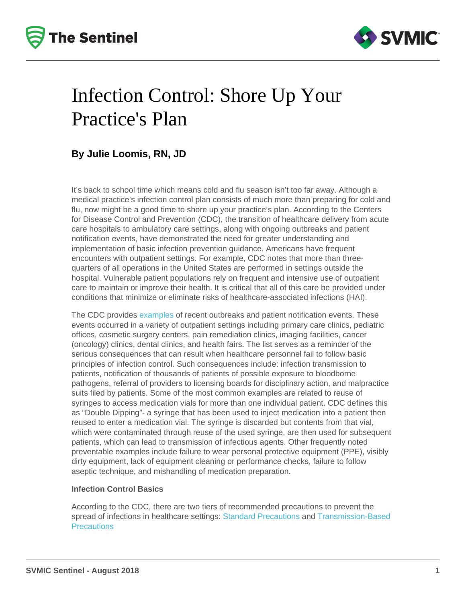### Infection Control: Shore Up Your Practice's Plan

#### By Julie Loomis, RN, JD

It's back to school time which means cold and flu season isn't too far away. Although a medical practice's infection control plan consists of much more than preparing for cold and flu, now might be a good time to shore up your practice's plan. According to the Centers for Disease Control and Prevention (CDC), the transition of healthcare delivery from acute care hospitals to ambulatory care settings, along with ongoing outbreaks and patient notification events, have demonstrated the need for greater understanding and implementation of basic infection prevention guidance. Americans have frequent encounters with outpatient settings. For example, CDC notes that more than threequarters of all operations in the United States are performed in settings outside the hospital. Vulnerable patient populations rely on frequent and intensive use of outpatient care to maintain or improve their health. It is critical that all of this care be provided under conditions that minimize or eliminate risks of healthcare-associated infections (HAI).

The CDC provides [examples](https://www.cdc.gov/hai/settings/outpatient/outbreaks-patient-notifications.html) of recent outbreaks and patient notification events. These events occurred in a variety of outpatient settings including primary care clinics, pediatric offices, cosmetic surgery centers, pain remediation clinics, imaging facilities, cancer (oncology) clinics, dental clinics, and health fairs. The list serves as a reminder of the serious consequences that can result when healthcare personnel fail to follow basic principles of infection control. Such consequences include: infection transmission to patients, notification of thousands of patients of possible exposure to bloodborne pathogens, referral of providers to licensing boards for disciplinary action, and malpractice suits filed by patients. Some of the most common examples are related to reuse of syringes to access medication vials for more than one individual patient. CDC defines this as "Double Dipping"- a syringe that has been used to inject medication into a patient then reused to enter a medication vial. The syringe is discarded but contents from that vial, which were contaminated through reuse of the used syringe, are then used for subsequent patients, which can lead to transmission of infectious agents. Other frequently noted preventable examples include failure to wear personal protective equipment (PPE), visibly dirty equipment, lack of equipment cleaning or performance checks, failure to follow aseptic technique, and mishandling of medication preparation.

#### Infection Control Basics

According to the CDC, there are two tiers of recommended precautions to prevent the spread of infections in healthcare settings: [Standard Precautions](https://www.cdc.gov/infectioncontrol/basics/standard-precautions.html) and [Transmission-Based](https://www.cdc.gov/infectioncontrol/basics/transmission-based-precautions.html)  **[Precautions](https://www.cdc.gov/infectioncontrol/basics/transmission-based-precautions.html)**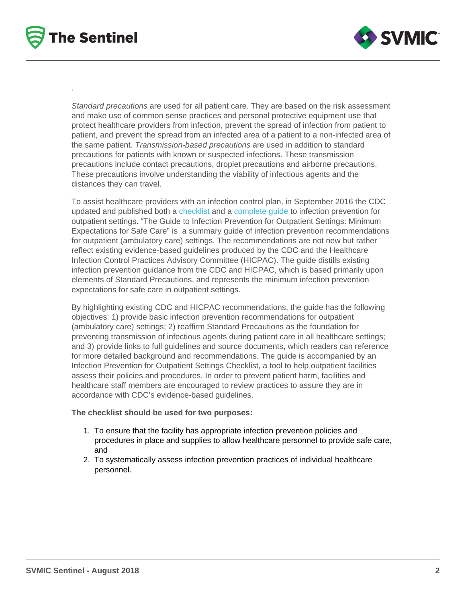Standard precautions are used for all patient care. They are based on the risk assessment and make use of common sense practices and personal protective equipment use that protect healthcare providers from infection, prevent the spread of infection from patient to patient, and prevent the spread from an infected area of a patient to a non-infected area of the same patient. Transmission-based precautions are used in addition to standard precautions for patients with known or suspected infections. These transmission precautions include contact precautions, droplet precautions and airborne precautions. These precautions involve understanding the viability of infectious agents and the distances they can travel.

To assist healthcare providers with an infection control plan, in September 2016 the CDC updated and published both a [checklist](https://www.cdc.gov/infectioncontrol/pdf/outpatient/guidechecklist.pdf) and a [complete guide](https://www.cdc.gov/infectioncontrol/pdf/outpatient/guide.pdf) to infection prevention for outpatient settings. "The Guide to Infection Prevention for Outpatient Settings: Minimum Expectations for Safe Care" is a summary guide of infection prevention recommendations for outpatient (ambulatory care) settings. The recommendations are not new but rather reflect existing evidence-based guidelines produced by the CDC and the Healthcare Infection Control Practices Advisory Committee (HICPAC). The guide distills existing infection prevention guidance from the CDC and HICPAC, which is based primarily upon elements of Standard Precautions, and represents the minimum infection prevention expectations for safe care in outpatient settings.

By highlighting existing CDC and HICPAC recommendations, the guide has the following objectives: 1) provide basic infection prevention recommendations for outpatient (ambulatory care) settings; 2) reaffirm Standard Precautions as the foundation for preventing transmission of infectious agents during patient care in all healthcare settings; and 3) provide links to full guidelines and source documents, which readers can reference for more detailed background and recommendations. The guide is accompanied by an Infection Prevention for Outpatient Settings Checklist, a tool to help outpatient facilities assess their policies and procedures. In order to prevent patient harm, facilities and healthcare staff members are encouraged to review practices to assure they are in accordance with CDC's evidence-based guidelines.

The checklist should be used for two purposes:

- 1. To ensure that the facility has appropriate infection prevention policies and procedures in place and supplies to allow healthcare personnel to provide safe care, and
- 2. To systematically assess infection prevention practices of individual healthcare personnel.

.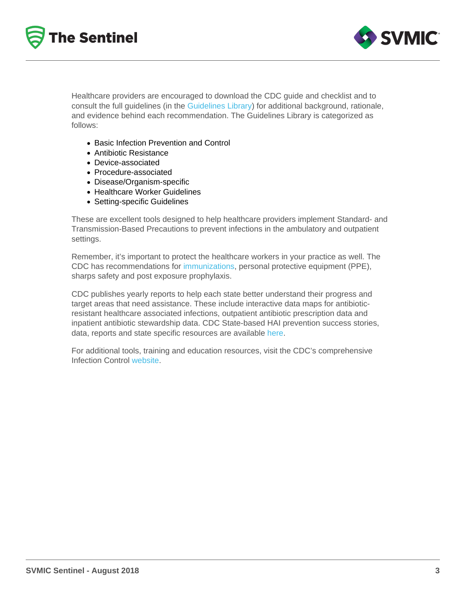Healthcare providers are encouraged to download the CDC guide and checklist and to consult the full guidelines (in the [Guidelines Library\)](https://www.cdc.gov/infectioncontrol/guidelines/index.html) for additional background, rationale, and evidence behind each recommendation. The Guidelines Library is categorized as follows:

- Basic Infection Prevention and Control
- Antibiotic Resistance
- Device-associated
- Procedure-associated
- Disease/Organism-specific
- Healthcare Worker Guidelines
- Setting-specific Guidelines

These are excellent tools designed to help healthcare providers implement Standard- and Transmission-Based Precautions to prevent infections in the ambulatory and outpatient settings.

Remember, it's important to protect the healthcare workers in your practice as well. The CDC has recommendations for [immunizations](https://www.cdc.gov/vaccines/adults/rec-vac/hcw.html), personal protective equipment (PPE), sharps safety and post exposure prophylaxis.

CDC publishes yearly reports to help each state better understand their progress and target areas that need assistance. These include interactive data maps for antibioticresistant healthcare associated infections, outpatient antibiotic prescription data and inpatient antibiotic stewardship data. CDC State-based HAI prevention success stories, data, reports and state specific resources are available [here](https://www.cdc.gov/hai/stateplans/state-hai-plans/tn.html).

For additional tools, training and education resources, visit the CDC's comprehensive Infection Control [website.](https://www.cdc.gov/infectioncontrol/)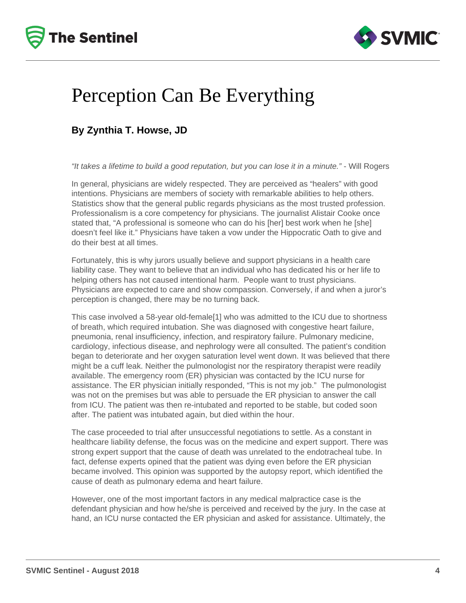



### Perception Can Be Everything

### **By Zynthia T. Howse, JD**

"It takes a lifetime to build a good reputation, but you can lose it in a minute." - Will Rogers

In general, physicians are widely respected. They are perceived as "healers" with good intentions. Physicians are members of society with remarkable abilities to help others. Statistics show that the general public regards physicians as the most trusted profession. Professionalism is a core competency for physicians. The journalist Alistair Cooke once stated that, "A professional is someone who can do his [her] best work when he [she] doesn't feel like it." Physicians have taken a vow under the Hippocratic Oath to give and do their best at all times.

Fortunately, this is why jurors usually believe and support physicians in a health care liability case. They want to believe that an individual who has dedicated his or her life to helping others has not caused intentional harm. People want to trust physicians. Physicians are expected to care and show compassion. Conversely, if and when a juror's perception is changed, there may be no turning back.

This case involved a 58-year old-female[1] who was admitted to the ICU due to shortness of breath, which required intubation. She was diagnosed with congestive heart failure, pneumonia, renal insufficiency, infection, and respiratory failure. Pulmonary medicine, cardiology, infectious disease, and nephrology were all consulted. The patient's condition began to deteriorate and her oxygen saturation level went down. It was believed that there might be a cuff leak. Neither the pulmonologist nor the respiratory therapist were readily available. The emergency room (ER) physician was contacted by the ICU nurse for assistance. The ER physician initially responded, "This is not my job." The pulmonologist was not on the premises but was able to persuade the ER physician to answer the call from ICU. The patient was then re-intubated and reported to be stable, but coded soon after. The patient was intubated again, but died within the hour.

The case proceeded to trial after unsuccessful negotiations to settle. As a constant in healthcare liability defense, the focus was on the medicine and expert support. There was strong expert support that the cause of death was unrelated to the endotracheal tube. In fact, defense experts opined that the patient was dying even before the ER physician became involved. This opinion was supported by the autopsy report, which identified the cause of death as pulmonary edema and heart failure.

However, one of the most important factors in any medical malpractice case is the defendant physician and how he/she is perceived and received by the jury. In the case at hand, an ICU nurse contacted the ER physician and asked for assistance. Ultimately, the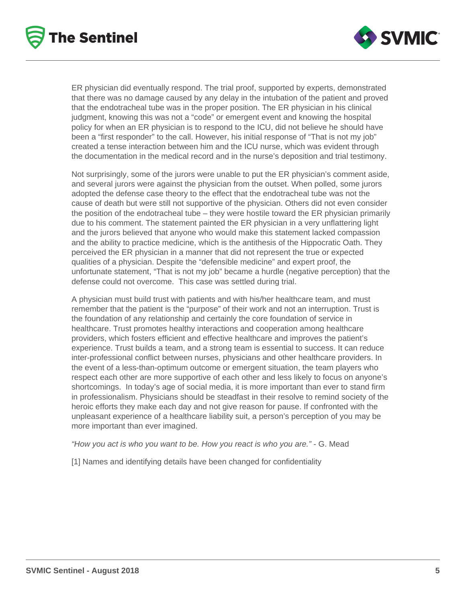



ER physician did eventually respond. The trial proof, supported by experts, demonstrated that there was no damage caused by any delay in the intubation of the patient and proved that the endotracheal tube was in the proper position. The ER physician in his clinical judgment, knowing this was not a "code" or emergent event and knowing the hospital policy for when an ER physician is to respond to the ICU, did not believe he should have been a "first responder" to the call. However, his initial response of "That is not my job" created a tense interaction between him and the ICU nurse, which was evident through the documentation in the medical record and in the nurse's deposition and trial testimony.

Not surprisingly, some of the jurors were unable to put the ER physician's comment aside, and several jurors were against the physician from the outset. When polled, some jurors adopted the defense case theory to the effect that the endotracheal tube was not the cause of death but were still not supportive of the physician. Others did not even consider the position of the endotracheal tube – they were hostile toward the ER physician primarily due to his comment. The statement painted the ER physician in a very unflattering light and the jurors believed that anyone who would make this statement lacked compassion and the ability to practice medicine, which is the antithesis of the Hippocratic Oath. They perceived the ER physician in a manner that did not represent the true or expected qualities of a physician. Despite the "defensible medicine" and expert proof, the unfortunate statement, "That is not my job" became a hurdle (negative perception) that the defense could not overcome. This case was settled during trial.

A physician must build trust with patients and with his/her healthcare team, and must remember that the patient is the "purpose" of their work and not an interruption. Trust is the foundation of any relationship and certainly the core foundation of service in healthcare. Trust promotes healthy interactions and cooperation among healthcare providers, which fosters efficient and effective healthcare and improves the patient's experience. Trust builds a team, and a strong team is essential to success. It can reduce inter-professional conflict between nurses, physicians and other healthcare providers. In the event of a less-than-optimum outcome or emergent situation, the team players who respect each other are more supportive of each other and less likely to focus on anyone's shortcomings. In today's age of social media, it is more important than ever to stand firm in professionalism. Physicians should be steadfast in their resolve to remind society of the heroic efforts they make each day and not give reason for pause. If confronted with the unpleasant experience of a healthcare liability suit, a person's perception of you may be more important than ever imagined.

"How you act is who you want to be. How you react is who you are." - G. Mead

[1] Names and identifying details have been changed for confidentiality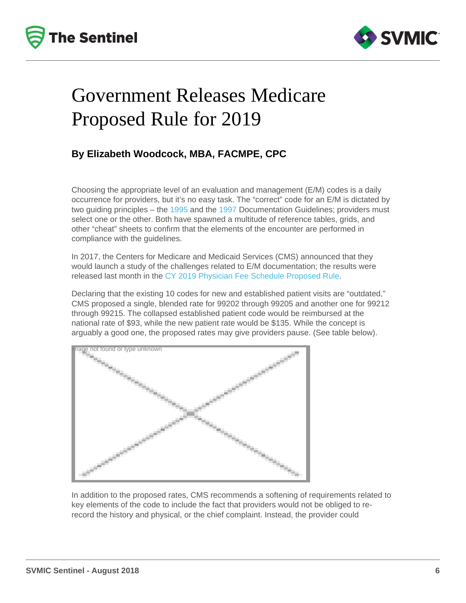# Government Releases Medicare Proposed Rule for 2019

#### By Elizabeth Woodcock, MBA, FACMPE, CPC

Choosing the appropriate level of an evaluation and management (E/M) codes is a daily occurrence for providers, but it's no easy task. The "correct" code for an E/M is dictated by two guiding principles – the [1995](https://www.cms.gov/Outreach-and-Education/Medicare-Learning-Network-MLN/MLNEdWebGuide/Downloads/95Docguidelines.pdf) and the [1997](https://www.cms.gov/Outreach-and-Education/Medicare-Learning-Network-MLN/MLNEdWebGuide/Downloads/97Docguidelines.pdf) Documentation Guidelines; providers must select one or the other. Both have spawned a multitude of reference tables, grids, and other "cheat" sheets to confirm that the elements of the encounter are performed in compliance with the guidelines.

In 2017, the Centers for Medicare and Medicaid Services (CMS) announced that they would launch a study of the challenges related to E/M documentation; the results were released last month in the [CY 2019 Physician Fee Schedule Proposed Rule.](https://www.cms.gov/Medicare/Medicare-Fee-for-Service-Payment/PhysicianFeeSched/PFS-Federal-Regulation-Notices-Items/CMS-1693-P.html)

Declaring that the existing 10 codes for new and established patient visits are "outdated," CMS proposed a single, blended rate for 99202 through 99205 and another one for 99212 through 99215. The collapsed established patient code would be reimbursed at the national rate of \$93, while the new patient rate would be \$135. While the concept is arguably a good one, the proposed rates may give providers pause. (See table below).

Image not found or type unknown

In addition to the proposed rates, CMS recommends a softening of requirements related to key elements of the code to include the fact that providers would not be obliged to rerecord the history and physical, or the chief complaint. Instead, the provider could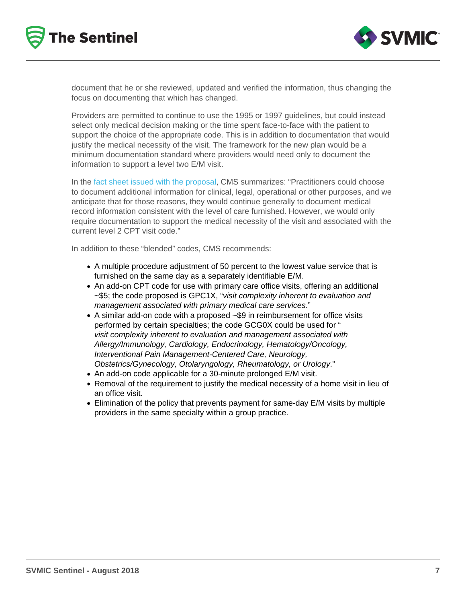document that he or she reviewed, updated and verified the information, thus changing the focus on documenting that which has changed.

Providers are permitted to continue to use the 1995 or 1997 guidelines, but could instead select only medical decision making or the time spent face-to-face with the patient to support the choice of the appropriate code. This is in addition to documentation that would justify the medical necessity of the visit. The framework for the new plan would be a minimum documentation standard where providers would need only to document the information to support a level two E/M visit.

In the [fact sheet issued with the proposal](https://www.cms.gov/Newsroom/MediaReleaseDatabase/Fact-sheets/2018-Fact-sheets-items/2018-07-12-2.html), CMS summarizes: "Practitioners could choose to document additional information for clinical, legal, operational or other purposes, and we anticipate that for those reasons, they would continue generally to document medical record information consistent with the level of care furnished. However, we would only require documentation to support the medical necessity of the visit and associated with the current level 2 CPT visit code."

In addition to these "blended" codes, CMS recommends:

- A multiple procedure adjustment of 50 percent to the lowest value service that is furnished on the same day as a separately identifiable E/M.
- An add-on CPT code for use with primary care office visits, offering an additional ~\$5; the code proposed is GPC1X, "visit complexity inherent to evaluation and management associated with primary medical care services."
- A similar add-on code with a proposed ~\$9 in reimbursement for office visits performed by certain specialties; the code GCG0X could be used for " visit complexity inherent to evaluation and management associated with Allergy/Immunology, Cardiology, Endocrinology, Hematology/Oncology, Interventional Pain Management-Centered Care, Neurology, Obstetrics/Gynecology, Otolaryngology, Rheumatology, or Urology."
- An add-on code applicable for a 30-minute prolonged E/M visit.
- Removal of the requirement to justify the medical necessity of a home visit in lieu of an office visit.
- Elimination of the policy that prevents payment for same-day E/M visits by multiple providers in the same specialty within a group practice.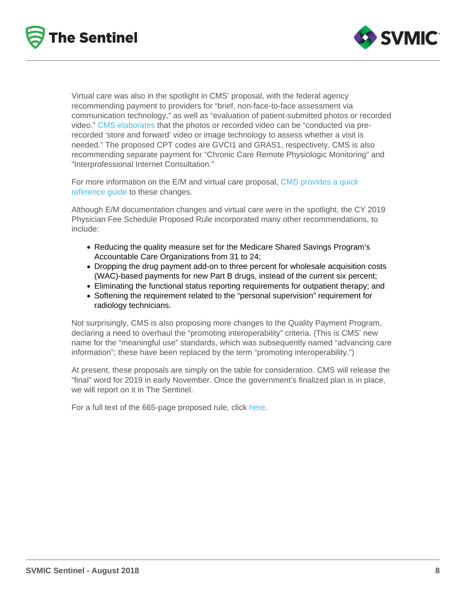Virtual care was also in the spotlight in CMS' proposal, with the federal agency recommending payment to providers for "brief, non-face-to-face assessment via communication technology," as well as "evaluation of patient-submitted photos or recorded video." [CMS elaborates](https://www.cms.gov/Newsroom/MediaReleaseDatabase/Fact-sheets/2018-Fact-sheets-items/2018-07-12-2.html) that the photos or recorded video can be "conducted via prerecorded 'store and forward' video or image technology to assess whether a visit is needed." The proposed CPT codes are GVCI1 and GRAS1, respectively. CMS is also recommending separate payment for "Chronic Care Remote Physiologic Monitoring" and "Interprofessional Internet Consultation."

For more information on the E/M and virtual care proposal, [CMS provides a quick](https://www.cms.gov/Medicare/Medicare-Fee-for-Service-Payment/PhysicianFeeSched/Downloads/CY2019-PFS-NPRM-Doc-Requirements-and-Payment-E-M-Visits-and-Advancing-Virtual-Care.pdf)  [reference guide](https://www.cms.gov/Medicare/Medicare-Fee-for-Service-Payment/PhysicianFeeSched/Downloads/CY2019-PFS-NPRM-Doc-Requirements-and-Payment-E-M-Visits-and-Advancing-Virtual-Care.pdf) to these changes.

Although E/M documentation changes and virtual care were in the spotlight, the CY 2019 Physician Fee Schedule Proposed Rule incorporated many other recommendations, to include:

- Reducing the quality measure set for the Medicare Shared Savings Program's Accountable Care Organizations from 31 to 24;
- Dropping the drug payment add-on to three percent for wholesale acquisition costs (WAC)-based payments for new Part B drugs, instead of the current six percent;
- Eliminating the functional status reporting requirements for outpatient therapy; and
- Softening the requirement related to the "personal supervision" requirement for radiology technicians.

Not surprisingly, CMS is also proposing more changes to the Quality Payment Program, declaring a need to overhaul the "promoting interoperability" criteria. (This is CMS' new name for the "meaningful use" standards, which was subsequently named "advancing care information"; these have been replaced by the term "promoting interoperability.")

At present, these proposals are simply on the table for consideration. CMS will release the "final" word for 2019 in early November. Once the government's finalized plan is in place, we will report on it in The Sentinel.

For a full text of the 665-page proposed rule, click [here](https://www.federalregister.gov/documents/2018/07/27/2018-14985/medicare-program-revisions-to-payment-policies-under-the-physician-fee-schedule-and-other-revisions).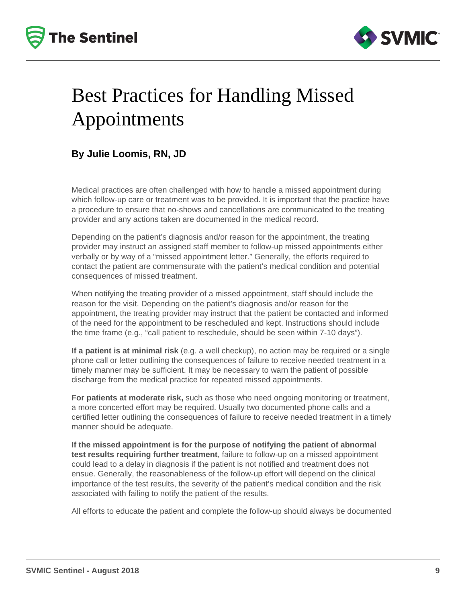



# Best Practices for Handling Missed Appointments

#### **By Julie Loomis, RN, JD**

Medical practices are often challenged with how to handle a missed appointment during which follow-up care or treatment was to be provided. It is important that the practice have a procedure to ensure that no-shows and cancellations are communicated to the treating provider and any actions taken are documented in the medical record.

Depending on the patient's diagnosis and/or reason for the appointment, the treating provider may instruct an assigned staff member to follow-up missed appointments either verbally or by way of a "missed appointment letter." Generally, the efforts required to contact the patient are commensurate with the patient's medical condition and potential consequences of missed treatment.

When notifying the treating provider of a missed appointment, staff should include the reason for the visit. Depending on the patient's diagnosis and/or reason for the appointment, the treating provider may instruct that the patient be contacted and informed of the need for the appointment to be rescheduled and kept. Instructions should include the time frame (e.g., "call patient to reschedule, should be seen within 7-10 days").

**If a patient is at minimal risk** (e.g. a well checkup), no action may be required or a single phone call or letter outlining the consequences of failure to receive needed treatment in a timely manner may be sufficient. It may be necessary to warn the patient of possible discharge from the medical practice for repeated missed appointments.

**For patients at moderate risk,** such as those who need ongoing monitoring or treatment, a more concerted effort may be required. Usually two documented phone calls and a certified letter outlining the consequences of failure to receive needed treatment in a timely manner should be adequate.

**If the missed appointment is for the purpose of notifying the patient of abnormal test results requiring further treatment**, failure to follow-up on a missed appointment could lead to a delay in diagnosis if the patient is not notified and treatment does not ensue. Generally, the reasonableness of the follow-up effort will depend on the clinical importance of the test results, the severity of the patient's medical condition and the risk associated with failing to notify the patient of the results.

All efforts to educate the patient and complete the follow-up should always be documented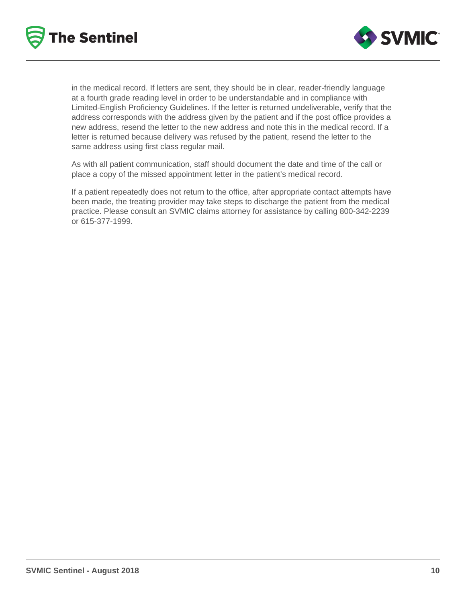



in the medical record. If letters are sent, they should be in clear, reader-friendly language at a fourth grade reading level in order to be understandable and in compliance with Limited-English Proficiency Guidelines. If the letter is returned undeliverable, verify that the address corresponds with the address given by the patient and if the post office provides a new address, resend the letter to the new address and note this in the medical record. If a letter is returned because delivery was refused by the patient, resend the letter to the same address using first class regular mail.

As with all patient communication, staff should document the date and time of the call or place a copy of the missed appointment letter in the patient's medical record.

If a patient repeatedly does not return to the office, after appropriate contact attempts have been made, the treating provider may take steps to discharge the patient from the medical practice. Please consult an SVMIC claims attorney for assistance by calling 800-342-2239 or 615-377-1999.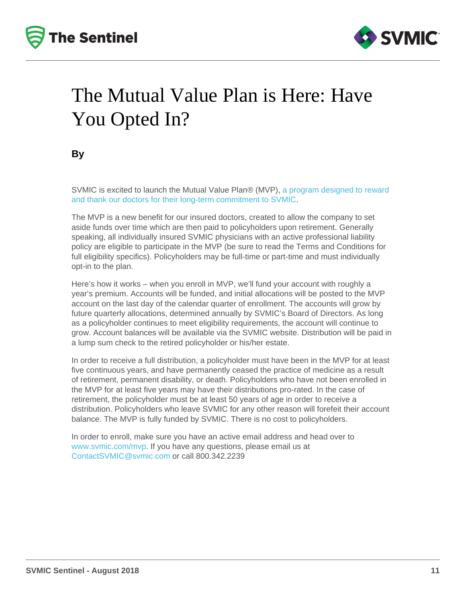# The Mutual Value Plan is Here: Have You Opted In?

By

SVMIC is excited to launch the Mutual Value Plan® (MVP), [a program designed to reward](/loyalty)  [and thank our doctors for their long-term commitment to SVMIC](/loyalty).

The MVP is a new benefit for our insured doctors, created to allow the company to set aside funds over time which are then paid to policyholders upon retirement. Generally speaking, all individually insured SVMIC physicians with an active professional liability policy are eligible to participate in the MVP (be sure to read the Terms and Conditions for full eligibility specifics). Policyholders may be full-time or part-time and must individually opt-in to the plan.

Here's how it works – when you enroll in MVP, we'll fund your account with roughly a year's premium. Accounts will be funded, and initial allocations will be posted to the MVP account on the last day of the calendar quarter of enrollment. The accounts will grow by future quarterly allocations, determined annually by SVMIC's Board of Directors. As long as a policyholder continues to meet eligibility requirements, the account will continue to grow. Account balances will be available via the SVMIC website. Distribution will be paid in a lump sum check to the retired policyholder or his/her estate.

In order to receive a full distribution, a policyholder must have been in the MVP for at least five continuous years, and have permanently ceased the practice of medicine as a result of retirement, permanent disability, or death. Policyholders who have not been enrolled in the MVP for at least five years may have their distributions pro-rated. In the case of retirement, the policyholder must be at least 50 years of age in order to receive a distribution. Policyholders who leave SVMIC for any other reason will forefeit their account balance. The MVP is fully funded by SVMIC. There is no cost to policyholders.

In order to enroll, make sure you have an active email address and head over to [www.svmic.com/mvp](http://www.svmic.com/mvp). If you have any questions, please email us at [ContactSVMIC@svmic.com](mailto:ContactSVMIC@svmic.com) or call 800.342.2239